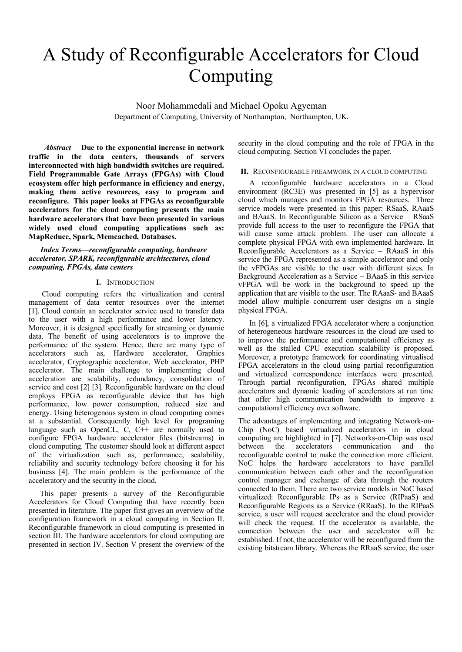# A Study of Reconfigurable Accelerators for Cloud Computing

Noor Mohammedali and Michael Opoku Agyeman Department of Computing, University of Northampton, Northampton, UK.

 *Abstract*— **Due to the exponential increase in network traffic in the data centers, thousands of servers interconnected with high bandwidth switches are required. Field Programmable Gate Arrays (FPGAs) with Cloud ecosystem offer high performance in efficiency and energy, making them active resources, easy to program and reconfigure. This paper looks at FPGAs as reconfigurable accelerators for the cloud computing presents the main hardware accelerators that have been presented in various widely used cloud computing applications such as: MapReduce, Spark, Memcached, Databases.** 

*Index Terms—reconfigurable computing, hardware accelerator, SPARK, reconfigurable architectures, cloud computing, FPGAs, data centers*

#### **I.** INTRODUCTION

Cloud computing refers the virtualization and central management of data center resources over the internet [1]. Cloud contain an accelerator service used to transfer data to the user with a high performance and lower latency. Moreover, it is designed specifically for streaming or dynamic data. The benefit of using accelerators is to improve the performance of the system. Hence, there are many type of accelerators such as, Hardware accelerator, Graphics accelerator, Cryptographic accelerator, Web accelerator, PHP accelerator. The main challenge to implementing cloud acceleration are scalability, redundancy, consolidation of service and cost [2] [3]. Reconfigurable hardware on the cloud employs FPGA as reconfigurable device that has high performance, low power consumption, reduced size and energy. Using heterogenous system in cloud computing comes at a substantial. Consequently high level for programing language such as OpenCL,  $\check{C}$ ,  $\check{C}$  are normally used to configure FPGA hardware accelerator files (bitstreams) in cloud computing. The customer should look at different aspect of the virtualization such as, performance, scalability, reliability and security technology before choosing it for his business [4]. The main problem is the performance of the acceleratory and the security in the cloud.

This paper presents a survey of the Reconfigurable Accelerators for Cloud Computing that have recently been presented in literature. The paper first gives an overview of the configuration framework in a cloud computing in Section II. Reconfigurable framework in cloud computing is presented in section III. The hardware accelerators for cloud computing are presented in section IV. Section V present the overview of the

security in the cloud computing and the role of FPGA in the cloud computing. Section VI concludes the paper.

#### **II.** RECONFIGURABLE FREAMWORK IN A CLOUD COMPUTING

A reconfigurable hardware accelerators in a Cloud environment (RC3E) was presented in [5] as a hypervisor cloud which manages and monitors FPGA resources. Three service models were presented in this paper: RSaaS, RAaaS and BAaaS. In Reconfigurable Silicon as a Service – RSaaS provide full access to the user to reconfigure the FPGA that will cause some attack problem. The user can allocate a complete physical FPGA with own implemented hardware. In Reconfigurable Accelerators as a Service – RAaaS in this service the FPGA represented as a simple accelerator and only the vFPGAs are visible to the user with different sizes. In Background Acceleration as a Service – BAaaS in this service vFPGA will be work in the background to speed up the application that are visible to the user. The RAaaS- and BAaaS model allow multiple concurrent user designs on a single physical FPGA.

In [6], a virtualized FPGA accelerator where a conjunction of heterogeneous hardware resources in the cloud are used to to improve the performance and computational efficiency as well as the stalled CPU execution scalability is proposed. Moreover, a prototype framework for coordinating virtualised FPGA accelerators in the cloud using partial reconfiguration and virtualized correspondence interfaces were presented. Through partial reconfiguration, FPGAs shared multiple accelerators and dynamic loading of accelerators at run time that offer high communication bandwidth to improve a computational efficiency over software.

The advantages of implementing and integrating Network-on-Chip (NoC) based virtualized accelerators in in cloud computing are highlighted in [7]. Networks-on-Chip was used between the accelerators communication and the reconfigurable control to make the connection more efficient. NoC helps the hardware accelerators to have parallel communication between each other and the reconfiguration control manager and exchange of data through the routers connected to them. There are two service models in NoC based virtualized: Reconfigurable IPs as a Service (RIPaaS) and Reconfigurable Regions as a Service (RRaaS). In the RIPaaS service, a user will request accelerator and the cloud provider will check the request. If the accelerator is available, the connection between the user and accelerator will be established. If not, the accelerator will be reconfigured from the existing bitstream library. Whereas the RRaaS service, the user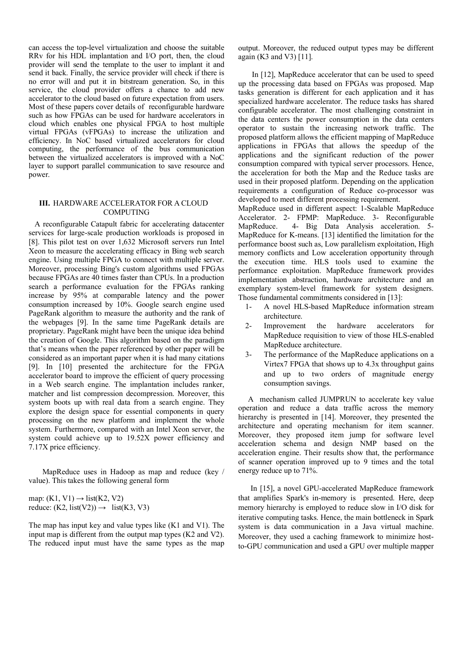can access the top-level virtualization and choose the suitable RRv for his HDL implantation and I/O port, then, the cloud provider will send the template to the user to implant it and send it back. Finally, the service provider will check if there is no error will and put it in bitstream generation. So, in this service, the cloud provider offers a chance to add new accelerator to the cloud based on future expectation from users. Most of these papers cover details of reconfigurable hardware such as how FPGAs can be used for hardware accelerators in cloud which enables one physical FPGA to host multiple virtual FPGAs (vFPGAs) to increase the utilization and efficiency. In NoC based virtualized accelerators for cloud computing, the performance of the bus communication between the virtualized accelerators is improved with a NoC layer to support parallel communication to save resource and power.

# **III.** HARDWARE ACCELERATOR FOR A CLOUD COMPUTING

 A reconfigurable Catapult fabric for accelerating datacenter services for large-scale production workloads is proposed in [8]. This pilot test on over 1,632 Microsoft servers run Intel Xeon to measure the accelerating efficacy in Bing web search engine. Using multiple FPGA to connect with multiple server. Moreover, processing Bing's custom algorithms used FPGAs because FPGAs are 40 times faster than CPUs. In a production search a performance evaluation for the FPGAs ranking increase by 95% at comparable latency and the power consumption increased by 10%. Google search engine used PageRank algorithm to measure the authority and the rank of the webpages [9]. In the same time PageRank details are proprietary. PageRank might have been the unique idea behind the creation of Google. This algorithm based on the paradigm that's means when the paper referenced by other paper will be considered as an important paper when it is had many citations [9]. In [10] presented the architecture for the FPGA accelerator board to improve the efficient of query processing in a Web search engine. The implantation includes ranker, matcher and list compression decompression. Moreover, this system boots up with real data from a search engine. They explore the design space for essential components in query processing on the new platform and implement the whole system. Furthermore, compared with an Intel Xeon server, the system could achieve up to 19.52X power efficiency and 7.17X price efficiency.

 MapReduce uses in Hadoop as map and reduce (key / value). This takes the following general form

map:  $(K1, V1) \rightarrow$  list $(K2, V2)$ reduce:  $(K2, list(V2)) \rightarrow list(K3, V3)$ 

The map has input key and value types like (K1 and V1). The input map is different from the output map types (K2 and V2). The reduced input must have the same types as the map

output. Moreover, the reduced output types may be different again (K3 and V3) [11].

 In [12], MapReduce accelerator that can be used to speed up the processing data based on FPGAs was proposed. Map tasks generation is different for each application and it has specialized hardware accelerator. The reduce tasks has shared configurable accelerator. The most challenging constraint in the data centers the power consumption in the data centers operator to sustain the increasing network traffic. The proposed platform allows the efficient mapping of MapReduce applications in FPGAs that allows the speedup of the applications and the significant reduction of the power consumption compared with typical server processors. Hence, the acceleration for both the Map and the Reduce tasks are used in their proposed platform. Depending on the application requirements a configuration of Reduce co-processor was developed to meet different processing requirement.

MapReduce used in different aspect: 1-Scalable MapReduce Accelerator. 2- FPMP: MapReduce. 3- Reconfigurable MapReduce. 4- Big Data Analysis acceleration. 5- MapReduce for K-means. [13] identified the limitation for the performance boost such as, Low parallelism exploitation, High memory conflicts and Low acceleration opportunity through the execution time. HLS tools used to examine the performance exploitation. MapReduce framework provides implementation abstraction, hardware architecture and an exemplary system-level framework for system designers. Those fundamental commitments considered in [13]:

- 1- A novel HLS-based MapReduce information stream architecture.
- 2- Improvement the hardware accelerators for MapReduce requisition to view of those HLS-enabled MapReduce architecture.
- 3- The performance of the MapReduce applications on a Virtex7 FPGA that shows up to 4.3x throughput gains and up to two orders of magnitude energy consumption savings.

 A mechanism called JUMPRUN to accelerate key value operation and reduce a data traffic across the memory hierarchy is presented in [14]. Moreover, they presented the architecture and operating mechanism for item scanner. Moreover, they proposed item jump for software level acceleration schema and design NMP based on the acceleration engine. Their results show that, the performance of scanner operation improved up to 9 times and the total energy reduce up to 71%.

In [15], a novel GPU-accelerated MapReduce framework that amplifies Spark's in-memory is presented. Here, deep memory hierarchy is employed to reduce slow in I/O disk for iterative computing tasks. Hence, the main bottleneck in Spark system is data communication in a Java virtual machine. Moreover, they used a caching framework to minimize hostto-GPU communication and used a GPU over multiple mapper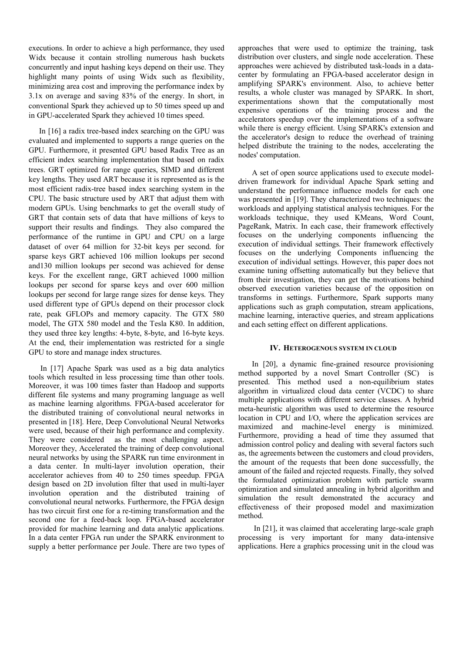executions. In order to achieve a high performance, they used Widx because it contain strolling numerous hash buckets concurrently and input hashing keys depend on their use. They highlight many points of using Widx such as flexibility, minimizing area cost and improving the performance index by 3.1x on average and saving 83% of the energy. In short, in conventional Spark they achieved up to 50 times speed up and in GPU-accelerated Spark they achieved 10 times speed.

In [16] a radix tree-based index searching on the GPU was evaluated and implemented to supports a range queries on the GPU. Furthermore, it presented GPU based Radix Tree as an efficient index searching implementation that based on radix trees. GRT optimized for range queries, SIMD and different key lengths. They used ART because it is represented as is the most efficient radix-tree based index searching system in the CPU. The basic structure used by ART that adjust them with modern GPUs. Using benchmarks to get the overall study of GRT that contain sets of data that have millions of keys to support their results and findings. They also compared the performance of the runtime in GPU and CPU on a large dataset of over 64 million for 32-bit keys per second. for sparse keys GRT achieved 106 million lookups per second and130 million lookups per second was achieved for dense keys. For the excellent range, GRT achieved 1000 million lookups per second for sparse keys and over 600 million lookups per second for large range sizes for dense keys. They used different type of GPUs depend on their processor clock rate, peak GFLOPs and memory capacity. The GTX 580 model, The GTX 580 model and the Tesla K80. In addition, they used three key lengths: 4-byte, 8-byte, and 16-byte keys. At the end, their implementation was restricted for a single GPU to store and manage index structures.

 In [17] Apache Spark was used as a big data analytics tools which resulted in less processing time than other tools. Moreover, it was 100 times faster than Hadoop and supports different file systems and many programing language as well as machine learning algorithms. FPGA-based accelerator for the distributed training of convolutional neural networks in presented in [18]. Here, Deep Convolutional Neural Networks were used, because of their high performance and complexity. They were considered as the most challenging aspect. Moreover they, Accelerated the training of deep convolutional neural networks by using the SPARK run time environment in a data center. In multi-layer involution operation, their accelerator achieves from 40 to 250 times speedup. FPGA design based on 2D involution filter that used in multi-layer involution operation and the distributed training of convolutional neural networks. Furthermore, the FPGA design has two circuit first one for a re-timing transformation and the second one for a feed-back loop. FPGA-based accelerator provided for machine learning and data analytic applications. In a data center FPGA run under the SPARK environment to supply a better performance per Joule. There are two types of

approaches that were used to optimize the training, task distribution over clusters, and single node acceleration. These approaches were achieved by distributed task-loads in a datacenter by formulating an FPGA-based accelerator design in amplifying SPARK's environment. Also, to achieve better results, a whole cluster was managed by SPARK. In short, experimentations shown that the computationally most expensive operations of the training process and the accelerators speedup over the implementations of a software while there is energy efficient. Using SPARK's extension and the accelerator's design to reduce the overhead of training helped distribute the training to the nodes, accelerating the nodes' computation.

 A set of open source applications used to execute modeldriven framework for individual Apache Spark setting and understand the performance influence models for each one was presented in [19]. They characterized two techniques: the workloads and applying statistical analysis techniques. For the workloads technique, they used KMeans, Word Count, PageRank, Matrix. In each case, their framework effectively focuses on the underlying components influencing the execution of individual settings. Their framework effectively focuses on the underlying Components influencing the execution of individual settings. However, this paper does not examine tuning offsetting automatically but they believe that from their investigation, they can get the motivations behind observed execution varieties because of the opposition on transforms in settings. Furthermore, Spark supports many applications such as graph computation, stream applications, machine learning, interactive queries, and stream applications and each setting effect on different applications.

## **IV. HETEROGENOUS SYSTEM IN CLOUD**

 In [20], a dynamic fine-grained resource provisioning method supported by a novel Smart Controller (SC) is presented. This method used a non-equilibrium states algorithm in virtualized cloud data center (VCDC) to share multiple applications with different service classes. A hybrid meta-heuristic algorithm was used to determine the resource location in CPU and I/O, where the application services are maximized and machine-level energy is minimized. Furthermore, providing a head of time they assumed that admission control policy and dealing with several factors such as, the agreements between the customers and cloud providers, the amount of the requests that been done successfully, the amount of the failed and rejected requests. Finally, they solved the formulated optimization problem with particle swarm optimization and simulated annealing in hybrid algorithm and simulation the result demonstrated the accuracy and effectiveness of their proposed model and maximization method.

 In [21], it was claimed that accelerating large-scale graph processing is very important for many data-intensive applications. Here a graphics processing unit in the cloud was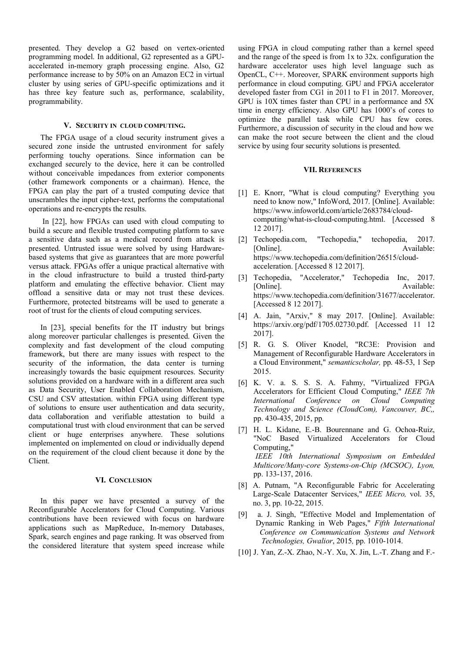presented. They develop a G2 based on vertex-oriented programming model. In additional, G2 represented as a GPUaccelerated in-memory graph processing engine. Also, G2 performance increase to by 50% on an Amazon EC2 in virtual cluster by using series of GPU-specific optimizations and it has three key feature such as, performance, scalability, programmability.

# **V. SECURITY IN CLOUD COMPUTING.**

 The FPGA usage of a cloud security instrument gives a secured zone inside the untrusted environment for safely performing touchy operations. Since information can be exchanged securely to the device, here it can be controlled without conceivable impedances from exterior components (other framework components or a chairman). Hence, the FPGA can play the part of a trusted computing device that unscrambles the input cipher-text, performs the computational operations and re-encrypts the results.

 In [22], how FPGAs can used with cloud computing to build a secure and flexible trusted computing platform to save a sensitive data such as a medical record from attack is presented. Untrusted issue were solved by using Hardwarebased systems that give as guarantees that are more powerful versus attack. FPGAs offer a unique practical alternative with in the cloud infrastructure to build a trusted third-party platform and emulating the effective behavior. Client may offload a sensitive data or may not trust these devices. Furthermore, protected bitstreams will be used to generate a root of trust for the clients of cloud computing services.

 In [23], special benefits for the IT industry but brings along moreover particular challenges is presented. Given the complexity and fast development of the cloud computing framework, but there are many issues with respect to the security of the information, the data center is turning increasingly towards the basic equipment resources. Security solutions provided on a hardware with in a different area such as Data Security, User Enabled Collaboration Mechanism, CSU and CSV attestation. within FPGA using different type of solutions to ensure user authentication and data security, data collaboration and verifiable attestation to build a computational trust with cloud environment that can be served client or huge enterprises anywhere. These solutions implemented on implemented on cloud or individually depend on the requirement of the cloud client because it done by the Client.

## **VI. CONCLUSION**

 In this paper we have presented a survey of the Reconfigurable Accelerators for Cloud Computing. Various contributions have been reviewed with focus on hardware applications such as MapReduce, In-memory Databases, Spark, search engines and page ranking. It was observed from the considered literature that system speed increase while

using FPGA in cloud computing rather than a kernel speed and the range of the speed is from 1x to 32x. configuration the hardware accelerator uses high level language such as OpenCL, C++. Moreover, SPARK environment supports high performance in cloud computing. GPU and FPGA accelerator developed faster from CG1 in 2011 to F1 in 2017. Moreover, GPU is 10X times faster than CPU in a performance and 5X time in energy efficiency. Also GPU has 1000's of cores to optimize the parallel task while CPU has few cores. Furthermore, a discussion of security in the cloud and how we can make the root secure between the client and the cloud service by using four security solutions is presented.

### **VII. REFERENCES**

- [1] E. Knorr, "What is cloud computing? Everything you need to know now," InfoWord, 2017. [Online]. Available: https://www.infoworld.com/article/2683784/cloudcomputing/what-is-cloud-computing.html. [Accessed 8 12 2017].
- [2] Techopedia.com, "Techopedia," techopedia, 2017. [Online]. Available: https://www.techopedia.com/definition/26515/cloudacceleration. [Accessed 8 12 2017].
- [3] Techopedia, "Accelerator," Techopedia Inc, 2017. [Online]. Available: https://www.techopedia.com/definition/31677/accelerator. [Accessed 8 12 2017].
- [4] A. Jain, "Arxiv," 8 may 2017. [Online]. Available: https://arxiv.org/pdf/1705.02730.pdf. [Accessed 11 12 2017].
- [5] R. G. S. Oliver Knodel, "RC3E: Provision and Management of Reconfigurable Hardware Accelerators in a Cloud Environment," *semanticscholar,* pp. 48-53, 1 Sep 2015.
- [6] K. V. a. S. S. S. A. Fahmy, "Virtualized FPGA Accelerators for Efficient Cloud Computing," *IEEE 7th International Conference on Cloud Technology and Science (CloudCom), Vancouver, BC,,*  pp. 430-435, 2015, pp.
- [7] H. L. Kidane, E.-B. Bourennane and G. Ochoa-Ruiz, "NoC Based Virtualized Accelerators for Cloud Computing," *IEEE 10th International Symposium on Embedded Multicore/Many-core Systems-on-Chip (MCSOC), Lyon,*  pp. 133-137, 2016.
- [8] A. Putnam, "A Reconfigurable Fabric for Accelerating Large-Scale Datacenter Services," *IEEE Micro,* vol. 35, no. 3, pp. 10-22, 2015.
- [9] a. J. Singh, "Effective Model and Implementation of Dynamic Ranking in Web Pages," *Fifth International Conference on Communication Systems and Network Technologies, Gwalior*, 2015*,* pp. 1010-1014.
- [10] J. Yan, Z.-X. Zhao, N.-Y. Xu, X. Jin, L.-T. Zhang and F.-